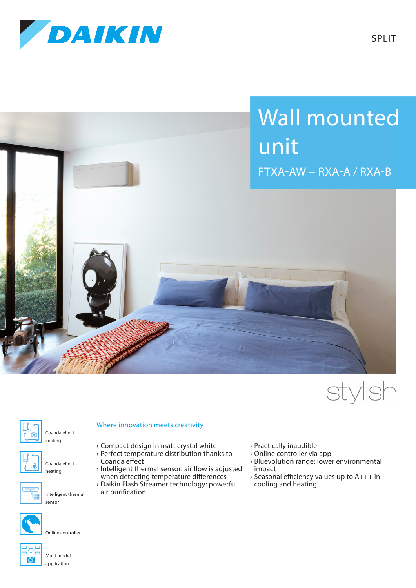







Coanda effect -



Coanda effect heating

cooling



Intelligent thermal

Online controller



Multi model application

## Where innovation meets creativity

- › Compact design in matt crystal white › Perfect temperature distribution thanks to Coanda effect
- › Intelligent thermal sensor: air flow is adjusted when detecting temperature differences
- › Daikin Flash Streamer technology: powerful
- air purification
- › Practically inaudible
- › Online controller via app
- › Bluevolution range: lower environmental impact
- › Seasonal efficiency values up to A+++ in cooling and heating